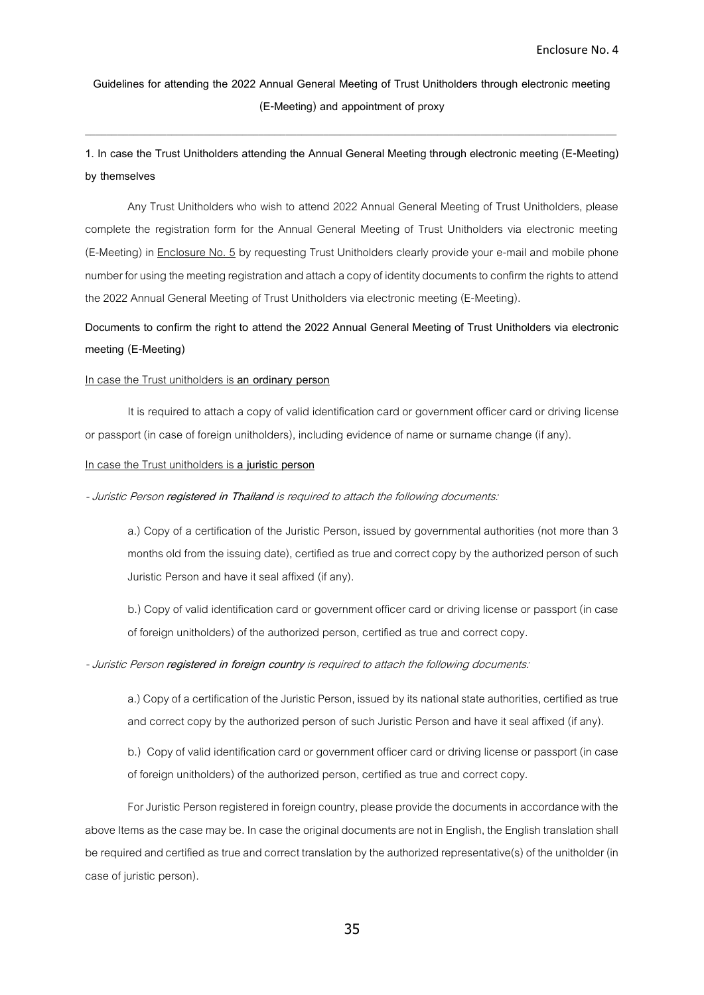**Guidelines for attending the 2022 Annual General Meeting of Trust Unitholders through electronic meeting (E-Meeting) and appointment of proxy**

 $\_$  ,  $\_$  ,  $\_$  ,  $\_$  ,  $\_$  ,  $\_$  ,  $\_$  ,  $\_$  ,  $\_$  ,  $\_$  ,  $\_$  ,  $\_$  ,  $\_$  ,  $\_$  ,  $\_$  ,  $\_$  ,  $\_$  ,  $\_$  ,  $\_$  ,  $\_$  ,  $\_$  ,  $\_$  ,  $\_$  ,  $\_$  ,  $\_$  ,  $\_$  ,  $\_$  ,  $\_$  ,  $\_$  ,  $\_$  ,  $\_$  ,  $\_$  ,  $\_$  ,  $\_$  ,  $\_$  ,  $\_$  ,  $\_$  ,

**1. In case the Trust Unitholders attending the Annual General Meeting through electronic meeting (E-Meeting) by themselves**

Any Trust Unitholders who wish to attend 2022 Annual General Meeting of Trust Unitholders, please complete the registration form for the Annual General Meeting of Trust Unitholders via electronic meeting (E-Meeting) in Enclosure No. 5 by requesting Trust Unitholders clearly provide your e-mail and mobile phone number for using the meeting registration and attach a copy of identity documents to confirm the rights to attend the 2022 Annual General Meeting of Trust Unitholders via electronic meeting (E-Meeting).

# **Documents to confirm the right to attend the 2022 Annual General Meeting of Trust Unitholders via electronic meeting (E-Meeting)**

### In case the Trust unitholders is **an ordinary person**

It is required to attach a copy of valid identification card or government officer card or driving license or passport (in case of foreign unitholders), including evidence of name or surname change (if any).

## In case the Trust unitholders is **a juristic person**

- Juristic Person **registered in Thailand** is required to attach the following documents:

a.) Copy of a certification of the Juristic Person, issued by governmental authorities (not more than 3 months old from the issuing date), certified as true and correct copy by the authorized person of such Juristic Person and have it seal affixed (if any).

b.) Copy of valid identification card or government officer card or driving license or passport (in case of foreign unitholders) of the authorized person, certified as true and correct copy.

### - Juristic Person **registered in foreign country** is required to attach the following documents:

a.) Copy of a certification of the Juristic Person, issued by its national state authorities, certified as true and correct copy by the authorized person of such Juristic Person and have it seal affixed (if any).

b.) Copy of valid identification card or government officer card or driving license or passport (in case of foreign unitholders) of the authorized person, certified as true and correct copy.

For Juristic Person registered in foreign country, please provide the documents in accordance with the above Items as the case may be. In case the original documents are not in English, the English translation shall be required and certified as true and correct translation by the authorized representative(s) of the unitholder (in case of juristic person).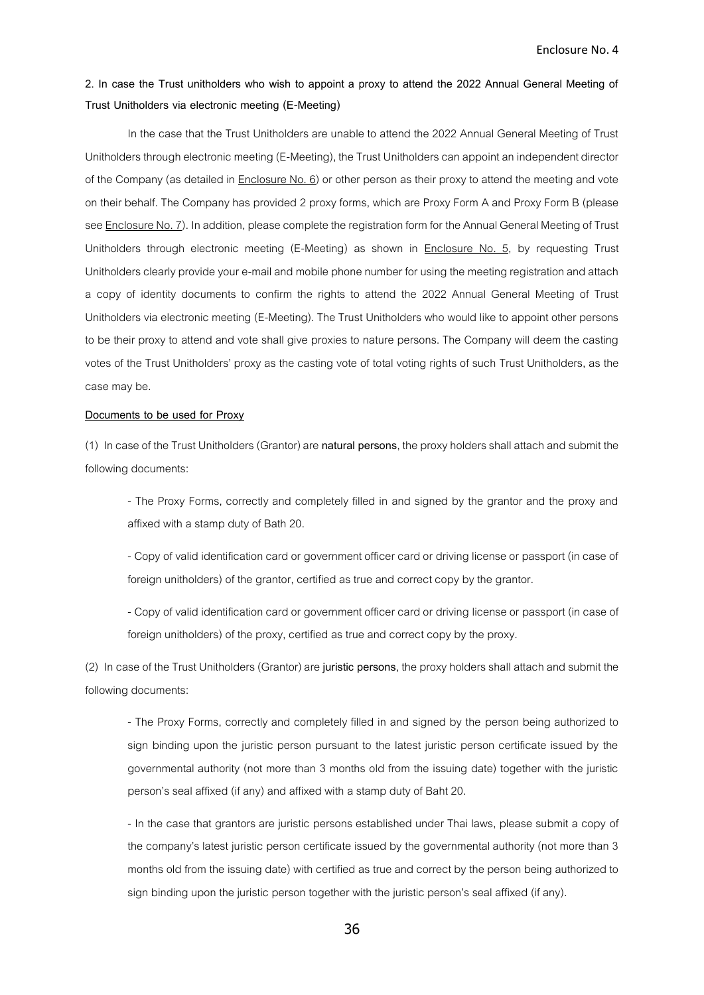## **2. In case the Trust unitholders who wish to appoint a proxy to attend the 2022 Annual General Meeting of Trust Unitholders via electronic meeting (E-Meeting)**

In the case that the Trust Unitholders are unable to attend the 2022 Annual General Meeting of Trust Unitholders through electronic meeting (E-Meeting), the Trust Unitholders can appoint an independent director of the Company (as detailed in Enclosure No. 6) or other person as their proxy to attend the meeting and vote on their behalf. The Company has provided 2 proxy forms, which are Proxy Form A and Proxy Form B (please see Enclosure No. 7). In addition, please complete the registration form for the Annual General Meeting of Trust Unitholders through electronic meeting (E-Meeting) as shown in **Enclosure No. 5**, by requesting Trust Unitholders clearly provide your e-mail and mobile phone number for using the meeting registration and attach a copy of identity documents to confirm the rights to attend the 2022 Annual General Meeting of Trust Unitholders via electronic meeting (E-Meeting). The Trust Unitholders who would like to appoint other persons to be their proxy to attend and vote shall give proxies to nature persons. The Company will deem the casting votes of the Trust Unitholders' proxy as the casting vote of total voting rights of such Trust Unitholders, as the case may be.

#### **Documents to be used for Proxy**

(1) In case of the Trust Unitholders (Grantor) are **natural persons**, the proxy holders shall attachand submit the following documents:

- The Proxy Forms, correctly and completely filled in and signed by the grantor and the proxy and affixed with a stamp duty of Bath 20.

- Copy of valid identification card or government officer card or driving license or passport (in case of foreign unitholders) of the grantor, certified as true and correct copy by the grantor.

- Copy of valid identification card or government officer card or driving license or passport (in case of foreign unitholders) of the proxy, certified as true and correct copy by the proxy.

(2) In case of the Trust Unitholders (Grantor) are **juristic persons**, the proxy holders shall attachand submit the following documents:

- The Proxy Forms, correctly and completely filled in and signed by the person being authorized to sign binding upon the juristic person pursuant to the latest juristic person certificate issued by the governmental authority (not more than 3 months old from the issuing date) together with the juristic person's seal affixed (if any) and affixed with a stamp duty of Baht 20.

- In the case that grantors are juristic persons established under Thai laws, please submit a copy of the company's latest juristic person certificate issued by the governmental authority (not more than 3 months old from the issuing date) with certified as true and correct by the person being authorized to sign binding upon the juristic person together with the juristic person's seal affixed (if any).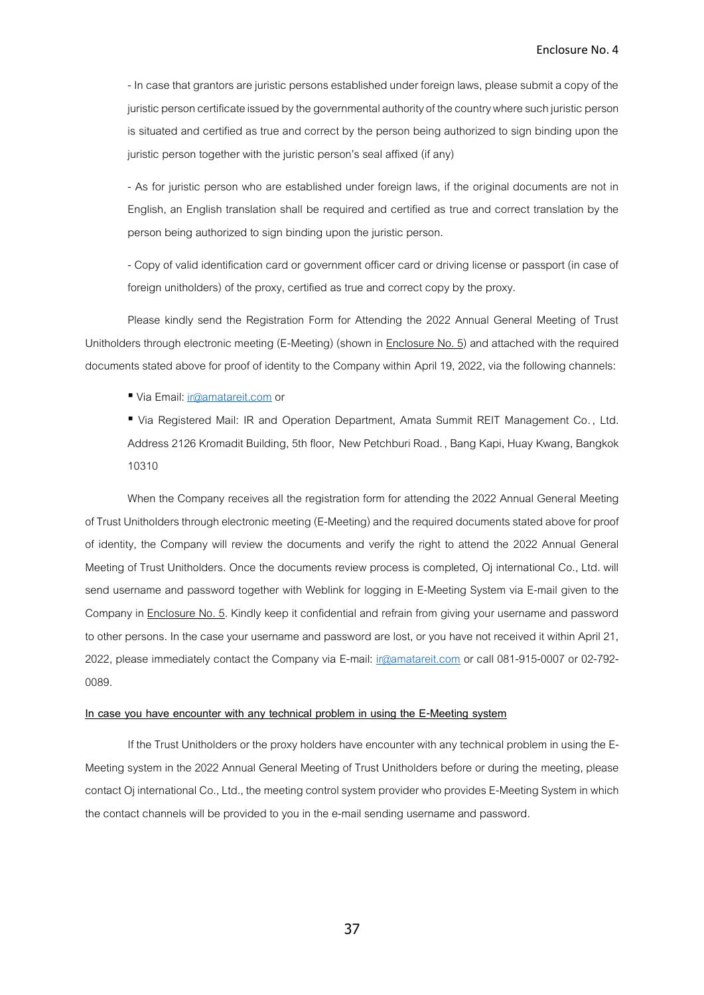- In case that grantors are juristic persons established under foreign laws, please submit a copy of the juristic person certificate issued by the governmental authority of the country where such juristic person is situated and certified as true and correct by the person being authorized to sign binding upon the juristic person together with the juristic person's seal affixed (if any)

- As for juristic person who are established under foreign laws, if the original documents are not in English, an English translation shall be required and certified as true and correct translation by the person being authorized to sign binding upon the juristic person.

- Copy of valid identification card or government officer card or driving license or passport (in case of foreign unitholders) of the proxy, certified as true and correct copy by the proxy.

Please kindly send the Registration Form for Attending the 2022 Annual General Meeting of Trust Unitholders through electronic meeting (E-Meeting) (shown in Enclosure No. 5) and attached with the required documents stated above for proof of identity to the Company within April 19,2022, via the following channels:

■ Via Email[: ir@amatareit.com](mailto:ir@amatareit.com) or

▪ Via Registered Mail: IR and Operation Department, Amata Summit REIT Management Co. , Ltd. Address 2126 Kromadit Building, 5th floor, New Petchburi Road. , Bang Kapi, Huay Kwang, Bangkok 10310

When the Company receives all the registration form for attending the 2022 Annual General Meeting of Trust Unitholders through electronic meeting (E-Meeting) and the required documents stated above for proof of identity, the Company will review the documents and verify the right to attend the 2022 Annual General Meeting of Trust Unitholders. Once the documents review process is completed, Oj international Co., Ltd. will send username and password together with Weblink for logging in E-Meeting System via E-mail given to the Company in Enclosure No. 5. Kindly keep it confidential and refrain from giving your username and password to other persons. In the case your username and password are lost, or you have not received it within April 21, 2022, please immediately contact the Company via E-mail: [ir@amatareit.com](mailto:ir@amatareit.com) or call 081-915-0007 or 02-792- 0089.

#### **In case you have encounter with any technical problem in using the E-Meeting system**

If the Trust Unitholders or the proxy holders have encounter with any technical problem in using the E-Meeting system in the 2022 Annual General Meeting of Trust Unitholders before or during the meeting, please contact Oj international Co., Ltd., the meeting control system provider who provides E-Meeting System in which the contact channels will be provided to you in the e-mail sending username and password.

37